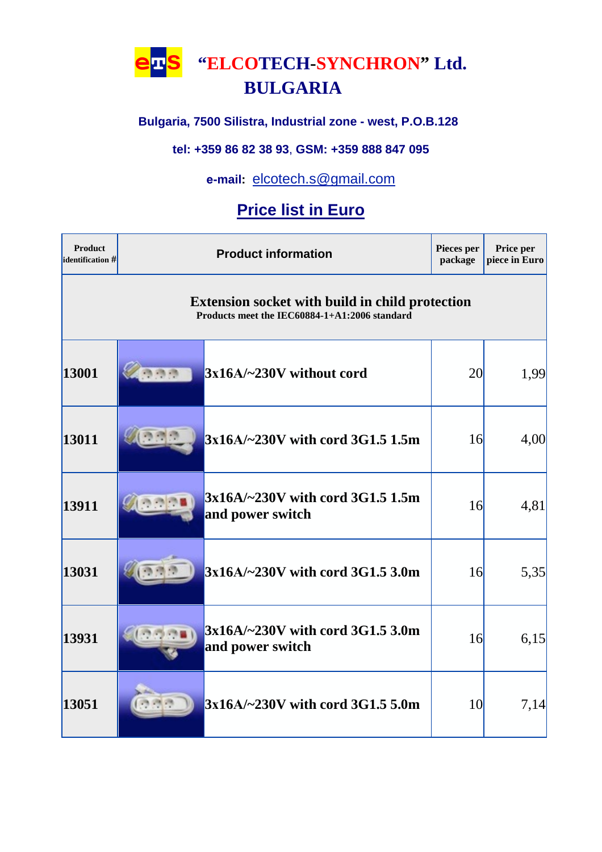**етs "ELCOTECH-SYNCHRON" Ltd.**

# **BULGARIA**

### **Bulgaria, 7500 Silistra, Industrial zone - west, P.O.B.128**

#### **tel: +359 86 82 38 93**, **GSM: +359 888 847 095**

### **е-mail:** [elcotech.s@gmail.com](mailto:elcotech.s@gmail.com)

## **Price list in Euro**

| Product<br>identification # | <b>Product information</b>                                                                              |                                                      | Pieces per<br>package | Price per<br>piece in Euro |  |  |
|-----------------------------|---------------------------------------------------------------------------------------------------------|------------------------------------------------------|-----------------------|----------------------------|--|--|
|                             | <b>Extension socket with build in child protection</b><br>Products meet the IEC60884-1+A1:2006 standard |                                                      |                       |                            |  |  |
| 13001                       | 西西西                                                                                                     | $3x16A/-230V$ without cord                           | <b>20</b>             | 1,99                       |  |  |
| 13011                       |                                                                                                         | 3x16A/~230V with cord 3G1.5 1.5m                     | 16                    | 4,00                       |  |  |
| 13911                       |                                                                                                         | 3x16A/~230V with cord 3G1.5 1.5m<br>and power switch | 16                    | 4,81                       |  |  |
| 13031                       |                                                                                                         | 3x16A/~230V with cord 3G1.5 3.0m                     | 16                    | 5,35                       |  |  |
| 13931                       |                                                                                                         | 3x16A/~230V with cord 3G1.5 3.0m<br>and power switch | 16                    | 6,15                       |  |  |
| 13051                       |                                                                                                         | $3x16A/-230V$ with cord 3G1.5 5.0m                   | <b>10</b>             | 7,14                       |  |  |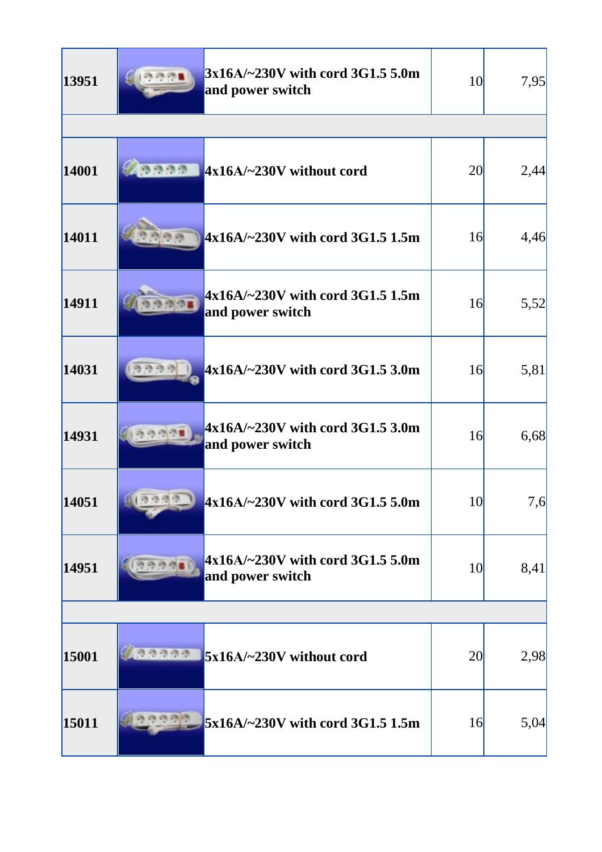| 13951 | $3x16A/-230V$ with cord 3G1.5 5.0m<br>and power switch          | <b>10</b>       | 7,95 |
|-------|-----------------------------------------------------------------|-----------------|------|
|       |                                                                 |                 |      |
| 14001 | 商商商商<br>4x16A/~230V without cord                                | <b>20</b>       | 2,44 |
| 14011 | 4x16A/~230V with cord 3G1.5 1.5m                                | 16              | 4,46 |
| 14911 | $4x16A/-230V$ with cord 3G1.5 1.5m<br>and power switch          | 16              | 5,52 |
| 14031 | $4x16A/-230V$ with cord 3G1.5 3.0m                              | 16              | 5,81 |
| 14931 | $4x16A/-230V$ with cord 3G1.5 3.0m<br>and power switch          | 16              | 6,68 |
| 14051 | 前面消瘦者<br>$4x16A/-230V$ with cord 3G1.5 5.0m                     | 10 <sup>l</sup> | 7,6  |
| 14951 | $4x16A/-230V$ with cord 3G1.5 5.0m<br>资源资源量<br>and power switch | 10 <sup>l</sup> | 8,41 |
|       |                                                                 |                 |      |
| 15001 | 33333<br>5x16A/~230V without cord                               | <b>20</b>       | 2,98 |
| 15011 | 5x16A/~230V with cord 3G1.5 1.5m                                | 16              | 5,04 |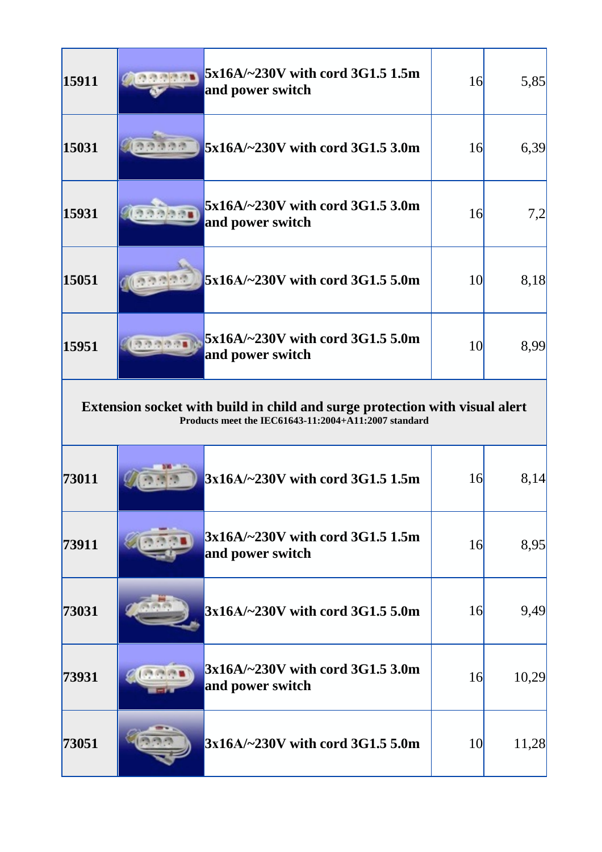| 15911 |                                                                                                                                     | 5x16A/~230V with cord 3G1.5 1.5m<br>and power switch | 16        | 5,85  |  |  |
|-------|-------------------------------------------------------------------------------------------------------------------------------------|------------------------------------------------------|-----------|-------|--|--|
| 15031 |                                                                                                                                     | 5x16A/~230V with cord 3G1.5 3.0m                     | 16        | 6,39  |  |  |
| 15931 |                                                                                                                                     | 5x16A/~230V with cord 3G1.5 3.0m<br>and power switch | 16        | 7,2   |  |  |
| 15051 |                                                                                                                                     | 5x16A/~230V with cord 3G1.5 5.0m                     | <b>10</b> | 8,18  |  |  |
| 15951 |                                                                                                                                     | 5x16A/~230V with cord 3G1.5 5.0m<br>and power switch | <b>10</b> | 8,99  |  |  |
|       | Extension socket with build in child and surge protection with visual alert<br>Products meet the IEC61643-11:2004+A11:2007 standard |                                                      |           |       |  |  |
| 73011 |                                                                                                                                     | 3x16A/~230V with cord 3G1.5 1.5m                     | 16        | 8,14  |  |  |
| 73911 |                                                                                                                                     | 3x16A/~230V with cord 3G1.5 1.5m<br>and power switch | 16        | 8,95  |  |  |
| 73031 |                                                                                                                                     | $3x16A/-230V$ with cord 3G1.5 5.0m                   | 16        | 9,49  |  |  |
| 73931 | <b>CALCRADE</b>                                                                                                                     | 3x16A/~230V with cord 3G1.5 3.0m<br>and power switch | 16        | 10,29 |  |  |
| 73051 |                                                                                                                                     |                                                      |           |       |  |  |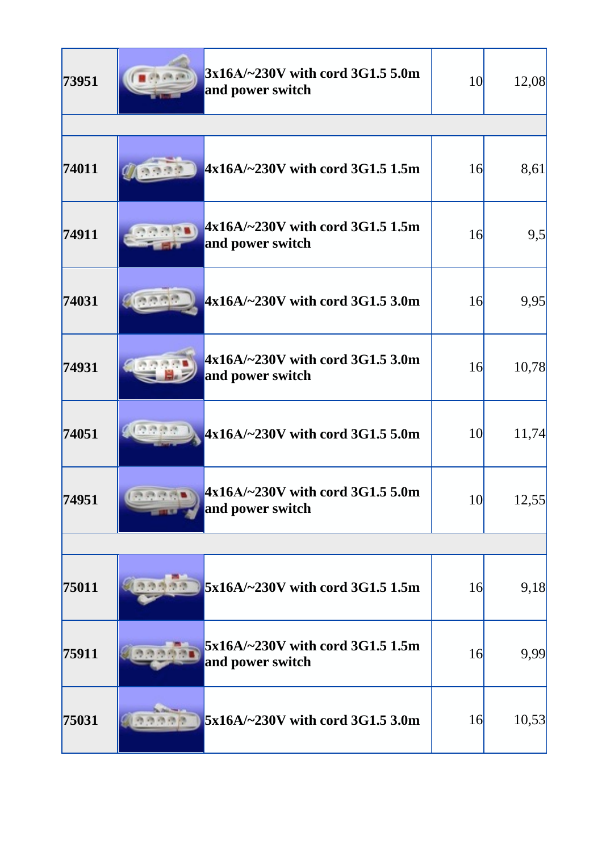| 73951 | 3x16A/~230V with cord 3G1.5 5.0m<br>and power switch   | <b>10</b> | 12,08 |
|-------|--------------------------------------------------------|-----------|-------|
|       |                                                        |           |       |
| 74011 | $4x16A/-230V$ with cord 3G1.5 1.5m                     | 16        | 8,61  |
| 74911 | $4x16A/-230V$ with cord 3G1.5 1.5m<br>and power switch | 16        | 9,5   |
| 74031 | 4x16A/~230V with cord 3G1.5 3.0m                       | 16        | 9,95  |
| 74931 | $4x16A/-230V$ with cord 3G1.5 3.0m<br>and power switch | 16        | 10,78 |
| 74051 | $4x16A/-230V$ with cord 3G1.5 5.0m                     | <b>10</b> | 11,74 |
| 74951 | $4x16A/-230V$ with cord 3G1.5 5.0m<br>and power switch | <b>10</b> | 12,55 |
|       |                                                        |           |       |
| 75011 | 5x16A/~230V with cord 3G1.5 1.5m                       | 16        | 9,18  |
| 75911 | 5x16A/~230V with cord 3G1.5 1.5m<br>and power switch   | 16        | 9,99  |
| 75031 | 5x16A/~230V with cord 3G1.5 3.0m                       | 16        | 10,53 |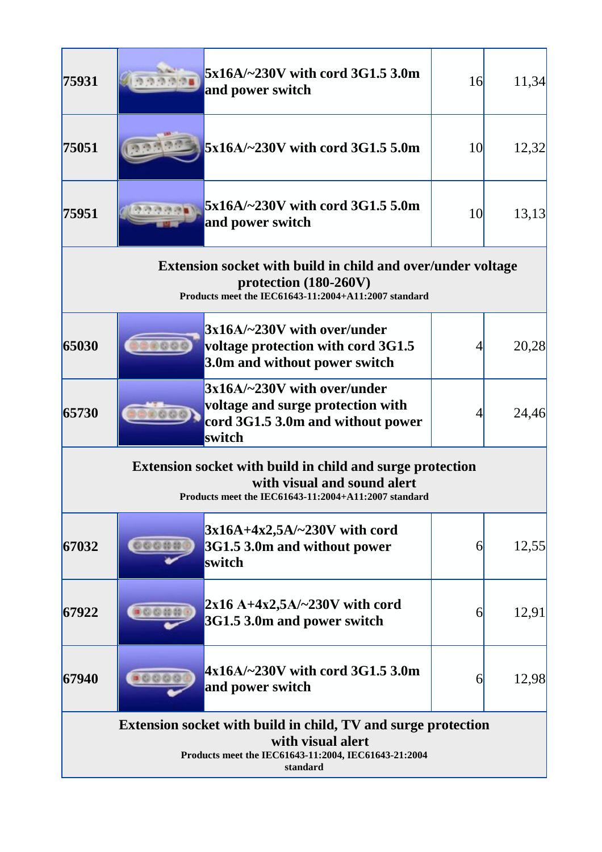| 75931                                                                                                                                                   |       | 5x16A/~230V with cord 3G1.5 3.0m<br>and power switch                                                                                           | 16 | 11,34 |  |
|---------------------------------------------------------------------------------------------------------------------------------------------------------|-------|------------------------------------------------------------------------------------------------------------------------------------------------|----|-------|--|
| 75051                                                                                                                                                   |       | 5x16A/~230V with cord 3G1.5 5.0m                                                                                                               | 10 | 12,32 |  |
| 75951                                                                                                                                                   |       | 5x16A/~230V with cord 3G1.5 5.0m<br>and power switch                                                                                           | 10 | 13,13 |  |
|                                                                                                                                                         |       | Extension socket with build in child and over/under voltage<br>protection $(180-260V)$<br>Products meet the IEC61643-11:2004+A11:2007 standard |    |       |  |
| 65030                                                                                                                                                   |       | $3x16A/-230V$ with over/under<br>voltage protection with cord 3G1.5<br>3.0m and without power switch                                           |    | 20,28 |  |
| 65730                                                                                                                                                   |       | $3x16A/-230V$ with over/under<br>voltage and surge protection with<br>cord 3G1.5 3.0m and without power<br>switch                              |    | 24,46 |  |
| <b>Extension socket with build in child and surge protection</b><br>with visual and sound alert<br>Products meet the IEC61643-11:2004+A11:2007 standard |       |                                                                                                                                                |    |       |  |
| 67032                                                                                                                                                   | 00000 | $3x16A+4x2,5A/-230V$ with cord<br>3G1.5 3.0m and without power<br>switch                                                                       | 6  | 12,55 |  |
| 67922                                                                                                                                                   |       | $2x16$ A+4x2,5A/~230V with cord<br>3G1.5 3.0m and power switch                                                                                 | 6  | 12,91 |  |
| 67940                                                                                                                                                   | 1000  | $4x16A/-230V$ with cord 3G1.5 3.0m<br>and power switch                                                                                         | 6  | 12,98 |  |
| Extension socket with build in child, TV and surge protection<br>with visual alert<br>Products meet the IEC61643-11:2004, IEC61643-21:2004<br>standard  |       |                                                                                                                                                |    |       |  |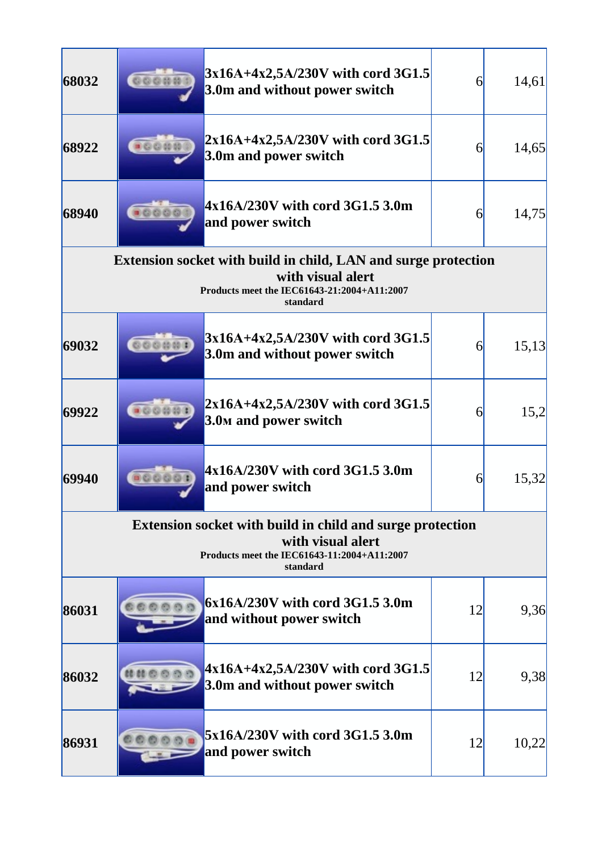| 68032 | 00000                                                                                                                                            | 3x16A+4x2,5A/230V with cord 3G1.5<br>3.0m and without power switch                                                                             | 6  | 14,61 |
|-------|--------------------------------------------------------------------------------------------------------------------------------------------------|------------------------------------------------------------------------------------------------------------------------------------------------|----|-------|
| 68922 |                                                                                                                                                  | $2x16A+4x2,5A/230V$ with cord 3G1.5<br>3.0m and power switch                                                                                   | 6  | 14,65 |
| 68940 |                                                                                                                                                  | 4x16A/230V with cord 3G1.5 3.0m<br>and power switch                                                                                            | 6  | 14,75 |
|       |                                                                                                                                                  | Extension socket with build in child, LAN and surge protection<br>with visual alert<br>Products meet the IEC61643-21:2004+A11:2007<br>standard |    |       |
| 69032 |                                                                                                                                                  | 3x16A+4x2,5A/230V with cord 3G1.5<br>3.0m and without power switch                                                                             | 6  | 15,13 |
| 69922 |                                                                                                                                                  | $2x16A+4x2,5A/230V$ with cord 3G1.5<br>3.0 <sub>M</sub> and power switch                                                                       | 6  | 15,2  |
| 69940 |                                                                                                                                                  | 4x16A/230V with cord 3G1.5 3.0m<br>and power switch                                                                                            | 6  | 15,32 |
|       | <b>Extension socket with build in child and surge protection</b><br>with visual alert<br>Products meet the IEC61643-11:2004+A11:2007<br>standard |                                                                                                                                                |    |       |
| 86031 |                                                                                                                                                  | $6x16A/230V$ with cord 3G1.5 3.0m<br>and without power switch                                                                                  | 12 | 9,36  |
| 86032 |                                                                                                                                                  | $4x16A+4x2,5A/230V$ with cord 3G1.5<br>3.0m and without power switch                                                                           | 12 | 9,38  |
| 86931 |                                                                                                                                                  | 5x16A/230V with cord 3G1.5 3.0m<br>and power switch                                                                                            | 12 | 10,22 |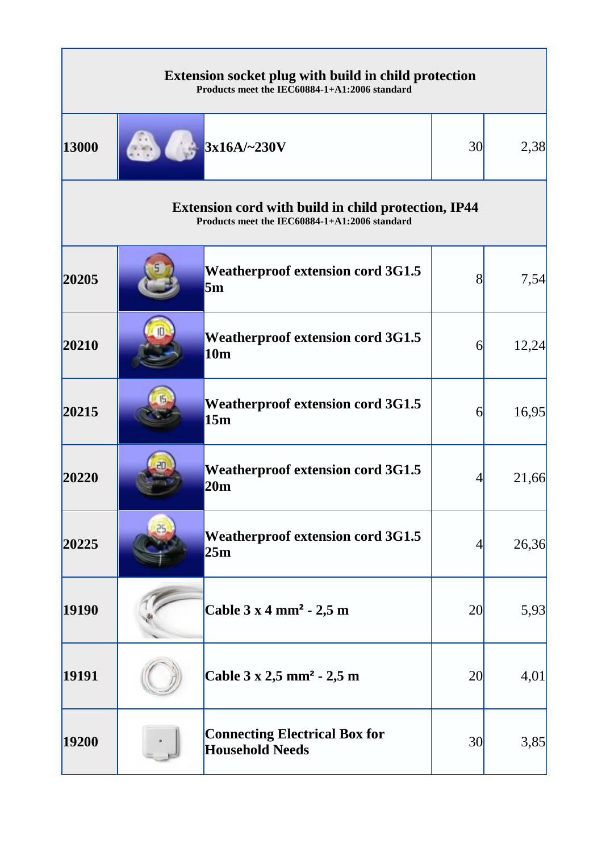| <b>Extension socket plug with build in child protection</b><br>Products meet the IEC60884-1+A1:2006 standard |  |                                                                                                             |    |       |
|--------------------------------------------------------------------------------------------------------------|--|-------------------------------------------------------------------------------------------------------------|----|-------|
| 13000                                                                                                        |  | $3x16A/-230V$                                                                                               | 30 | 2,38  |
|                                                                                                              |  | <b>Extension cord with build in child protection, IP44</b><br>Products meet the IEC60884-1+A1:2006 standard |    |       |
| 20205                                                                                                        |  | <b>Weatherproof extension cord 3G1.5</b><br>5m                                                              | 8  | 7,54  |
| 20210                                                                                                        |  | <b>Weatherproof extension cord 3G1.5</b><br>10 <sub>m</sub>                                                 | 6  | 12,24 |
| 20215                                                                                                        |  | <b>Weatherproof extension cord 3G1.5</b><br>15m                                                             | 6  | 16,95 |
| 20220                                                                                                        |  | <b>Weatherproof extension cord 3G1.5</b><br>20m                                                             | 4  | 21,66 |
| 20225                                                                                                        |  | <b>Weatherproof extension cord 3G1.5</b><br>25m                                                             |    | 26,36 |
| 19190                                                                                                        |  | Cable 3 x 4 mm <sup>2</sup> - 2,5 m                                                                         | 20 | 5,93  |
| 19191                                                                                                        |  | Cable 3 x 2,5 mm <sup>2</sup> - 2,5 m                                                                       | 20 | 4,01  |
| 19200                                                                                                        |  | <b>Connecting Electrical Box for</b><br><b>Household Needs</b>                                              | 30 | 3,85  |

F